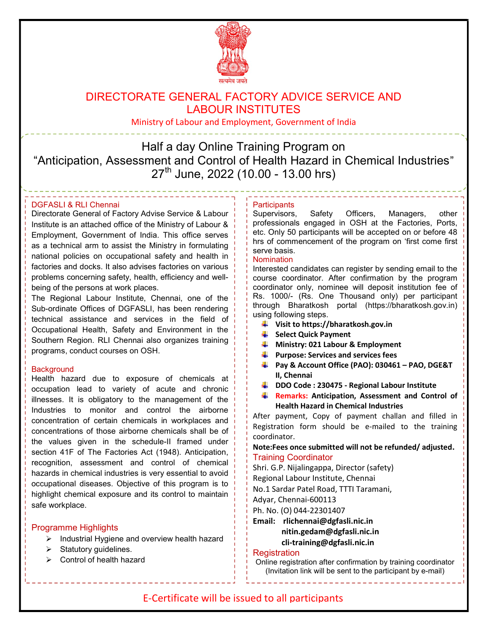

# DIRECTORATE GENERAL FACTORY ADVICE SERVICE AND LABOUR INSTITUTES

Ministry of Labour and Employment, Government of India

Half a day Online Training Program on "Anticipation, Assessment and Control of Health Hazard in Chemical Industries"  $27<sup>th</sup>$  June, 2022 (10.00 - 13.00 hrs)

## DGFASLI & RLI Chennai

Directorate General of Factory Advise Service & Labour Institute is an attached office of the Ministry of Labour & Employment, Government of India. This office serves as a technical arm to assist the Ministry in formulating national policies on occupational safety and health in factories and docks. It also advises factories on various problems concerning safety, health, efficiency and wellbeing of the persons at work places.

The Regional Labour Institute, Chennai, one of the Sub-ordinate Offices of DGFASLI, has been rendering technical assistance and services in the field of Occupational Health, Safety and Environment in the Southern Region. RLI Chennai also organizes training programs, conduct courses on OSH.

#### **Background**

Health hazard due to exposure of chemicals at occupation lead to variety of acute and chronic illnesses. It is obligatory to the management of the Industries to monitor and control the airborne concentration of certain chemicals in workplaces and concentrations of those airborne chemicals shall be of the values given in the schedule-II framed under section 41F of The Factories Act (1948). Anticipation, recognition, assessment and control of chemical hazards in chemical industries is very essential to avoid occupational diseases. Objective of this program is to highlight chemical exposure and its control to maintain safe workplace.

### Programme Highlights

- $\triangleright$  Industrial Hygiene and overview health hazard
- $\triangleright$  Statutory guidelines.
- $\triangleright$  Control of health hazard

#### **Participants**

Supervisors, Safety Officers, Managers, other professionals engaged in OSH at the Factories, Ports, etc. Only 50 participants will be accepted on or before 48 hrs of commencement of the program on 'first come first serve basis.

#### **Nomination**

Interested candidates can register by sending email to the course coordinator. After confirmation by the program coordinator only, nominee will deposit institution fee of Rs. 1000/- (Rs. One Thousand only) per participant through Bharatkosh portal (https://bharatkosh.gov.in) using following steps.

- Visit to https://bharatkosh.gov.in
- $\frac{1}{2}$  Select Ouick Payment
- $\blacksquare$  Ministry: 021 Labour & Employment
- $\downarrow$  Purpose: Services and services fees
- Pay & Account Office (PAO): 030461 PAO, DGE&T II, Chennai
- DDO Code: 230475 Regional Labour Institute
- **Remarks: Anticipation, Assessment and Control of** Health Hazard in Chemical Industries

After payment, Copy of payment challan and filled in Registration form should be e-mailed to the training coordinator.

Note:Fees once submitted will not be refunded/ adjusted. Training Coordinator

Shri. G.P. Nijalingappa, Director (safety)

Regional Labour Institute, Chennai

No.1 Sardar Patel Road, TTTI Taramani,

Adyar, Chennai-600113

Ph. No. (O) 044-22301407

Email: rlichennai@dgfasli.nic.in nitin.gedam@dgfasli.nic.in cli-training@dgfasli.nic.in

#### **Registration**

Online registration after confirmation by training coordinator (Invitation link will be sent to the participant by e-mail)

## E-Certificate will be issued to all participants